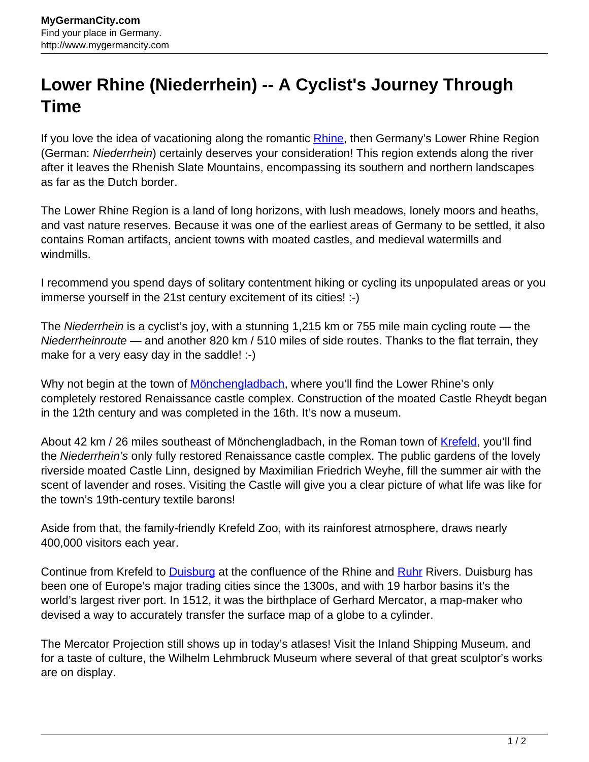## **Lower Rhine (Niederrhein) -- A Cyclist's Journey Through Time**

If you love the idea of vacationing along the romantic [Rhine](http://www.mygermancity.com/rhine), then Germany's Lower Rhine Region (German: Niederrhein) certainly deserves your consideration! This region extends along the river after it leaves the Rhenish Slate Mountains, encompassing its southern and northern landscapes as far as the Dutch border.

The Lower Rhine Region is a land of long horizons, with lush meadows, lonely moors and heaths, and vast nature reserves. Because it was one of the earliest areas of Germany to be settled, it also contains Roman artifacts, ancient towns with moated castles, and medieval watermills and windmills.

I recommend you spend days of solitary contentment hiking or cycling its unpopulated areas or you immerse yourself in the 21st century excitement of its cities! :-)

The Niederrhein is a cyclist's joy, with a stunning 1,215 km or 755 mile main cycling route — the Niederrheinroute — and another 820 km / 510 miles of side routes. Thanks to the flat terrain, they make for a very easy day in the saddle! :-)

Why not begin at the town of [Mönchengladbach,](http://www.mygermancity.com/moenchengladbach) where you'll find the Lower Rhine's only completely restored Renaissance castle complex. Construction of the moated Castle Rheydt began in the 12th century and was completed in the 16th. It's now a museum.

About 42 km / 26 miles southeast of Mönchengladbach, in the Roman town of [Krefeld](http://www.mygermancity.com/krefeld), you'll find the Niederrhein's only fully restored Renaissance castle complex. The public gardens of the lovely riverside moated Castle Linn, designed by Maximilian Friedrich Weyhe, fill the summer air with the scent of lavender and roses. Visiting the Castle will give you a clear picture of what life was like for the town's 19th-century textile barons!

Aside from that, the family-friendly Krefeld Zoo, with its rainforest atmosphere, draws nearly 400,000 visitors each year.

Continue from Krefeld to **Duisburg** at the confluence of the Rhine and **Ruhr Rivers. [Duisburg](http://www.mygermancity.com/duisburg) has** been one of Europe's major trading cities since the 1300s, and with 19 harbor basins it's the world's largest river port. In 1512, it was the birthplace of Gerhard Mercator, a map-maker who devised a way to accurately transfer the surface map of a globe to a cylinder.

The Mercator Projection still shows up in today's atlases! Visit the Inland Shipping Museum, and for a taste of culture, the Wilhelm Lehmbruck Museum where several of that great sculptor's works are on display.